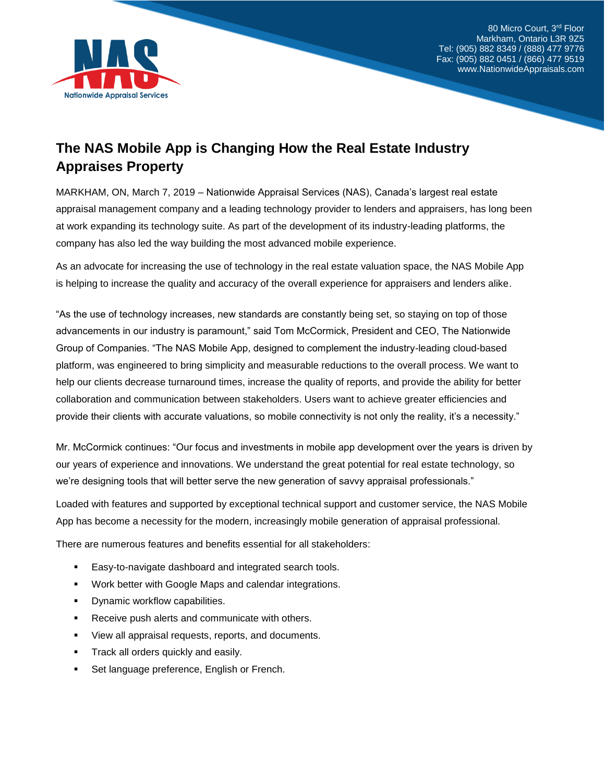

80 Micro Court, 3rd Floor Markham, Ontario L3R 9Z5 Tel: (905) 882 8349 / (888) 477 9776 Fax: (905) 882 0451 / (866) 477 9519 www.NationwideAppraisals.com

## **The NAS Mobile App is Changing How the Real Estate Industry Appraises Property**

MARKHAM, ON, March 7, 2019 – Nationwide Appraisal Services (NAS), Canada's largest real estate appraisal management company and a leading technology provider to lenders and appraisers, has long been at work expanding its technology suite. As part of the development of its industry-leading platforms, the company has also led the way building the most advanced mobile experience.

As an advocate for increasing the use of technology in the real estate valuation space, the NAS Mobile App is helping to increase the quality and accuracy of the overall experience for appraisers and lenders alike.

"As the use of technology increases, new standards are constantly being set, so staying on top of those advancements in our industry is paramount," said Tom McCormick, President and CEO, The Nationwide Group of Companies. "The NAS Mobile App, designed to complement the industry-leading cloud-based platform, was engineered to bring simplicity and measurable reductions to the overall process. We want to help our clients decrease turnaround times, increase the quality of reports, and provide the ability for better collaboration and communication between stakeholders. Users want to achieve greater efficiencies and provide their clients with accurate valuations, so mobile connectivity is not only the reality, it's a necessity."

Mr. McCormick continues: "Our focus and investments in mobile app development over the years is driven by our years of experience and innovations. We understand the great potential for real estate technology, so we're designing tools that will better serve the new generation of savvy appraisal professionals."

Loaded with features and supported by exceptional technical support and customer service, the NAS Mobile App has become a necessity for the modern, increasingly mobile generation of appraisal professional.

There are numerous features and benefits essential for all stakeholders:

- Easy-to-navigate dashboard and integrated search tools.
- Work better with Google Maps and calendar integrations.
- Dynamic workflow capabilities.
- Receive push alerts and communicate with others.
- View all appraisal requests, reports, and documents.
- **•** Track all orders quickly and easily.
- Set language preference, English or French.